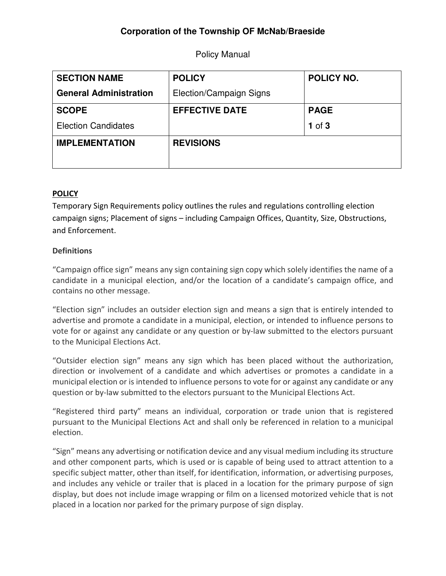# **Corporation of the Township OF McNab/Braeside**

Policy Manual

| <b>SECTION NAME</b>           | <b>POLICY</b>           | <b>POLICY NO.</b> |
|-------------------------------|-------------------------|-------------------|
| <b>General Administration</b> | Election/Campaign Signs |                   |
| <b>SCOPE</b>                  | <b>EFFECTIVE DATE</b>   | <b>PAGE</b>       |
| <b>Election Candidates</b>    |                         | $1$ of $3$        |
| <b>IMPLEMENTATION</b>         | <b>REVISIONS</b>        |                   |
|                               |                         |                   |

## POLICY

Temporary Sign Requirements policy outlines the rules and regulations controlling election campaign signs; Placement of signs – including Campaign Offices, Quantity, Size, Obstructions, and Enforcement.

### **Definitions**

"Campaign office sign" means any sign containing sign copy which solely identifies the name of a candidate in a municipal election, and/or the location of a candidate's campaign office, and contains no other message.

"Election sign" includes an outsider election sign and means a sign that is entirely intended to advertise and promote a candidate in a municipal, election, or intended to influence persons to vote for or against any candidate or any question or by-law submitted to the electors pursuant to the Municipal Elections Act.

"Outsider election sign" means any sign which has been placed without the authorization, direction or involvement of a candidate and which advertises or promotes a candidate in a municipal election or is intended to influence persons to vote for or against any candidate or any question or by-law submitted to the electors pursuant to the Municipal Elections Act.

"Registered third party" means an individual, corporation or trade union that is registered pursuant to the Municipal Elections Act and shall only be referenced in relation to a municipal election.

"Sign" means any advertising or notification device and any visual medium including its structure and other component parts, which is used or is capable of being used to attract attention to a specific subject matter, other than itself, for identification, information, or advertising purposes, and includes any vehicle or trailer that is placed in a location for the primary purpose of sign display, but does not include image wrapping or film on a licensed motorized vehicle that is not placed in a location nor parked for the primary purpose of sign display.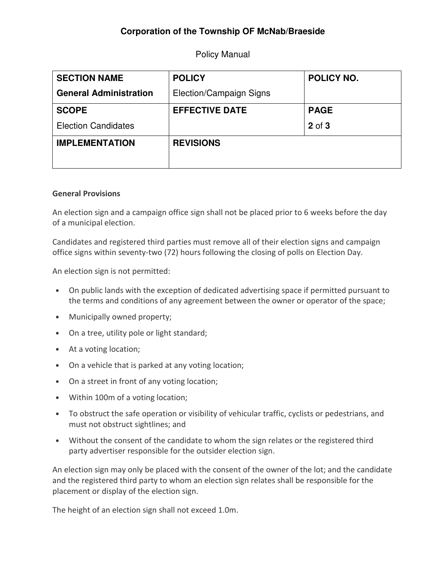# **Corporation of the Township OF McNab/Braeside**

Policy Manual

| <b>SECTION NAME</b>           | <b>POLICY</b>           | <b>POLICY NO.</b> |
|-------------------------------|-------------------------|-------------------|
| <b>General Administration</b> | Election/Campaign Signs |                   |
| <b>SCOPE</b>                  | <b>EFFECTIVE DATE</b>   | <b>PAGE</b>       |
| <b>Election Candidates</b>    |                         | 2 of 3            |
| <b>IMPLEMENTATION</b>         | <b>REVISIONS</b>        |                   |
|                               |                         |                   |

#### General Provisions

An election sign and a campaign office sign shall not be placed prior to 6 weeks before the day of a municipal election.

Candidates and registered third parties must remove all of their election signs and campaign office signs within seventy-two (72) hours following the closing of polls on Election Day.

An election sign is not permitted:

- On public lands with the exception of dedicated advertising space if permitted pursuant to the terms and conditions of any agreement between the owner or operator of the space;
- Municipally owned property;
- On a tree, utility pole or light standard;
- At a voting location;
- On a vehicle that is parked at any voting location;
- On a street in front of any voting location;
- Within 100m of a voting location;
- To obstruct the safe operation or visibility of vehicular traffic, cyclists or pedestrians, and must not obstruct sightlines; and
- Without the consent of the candidate to whom the sign relates or the registered third party advertiser responsible for the outsider election sign.

An election sign may only be placed with the consent of the owner of the lot; and the candidate and the registered third party to whom an election sign relates shall be responsible for the placement or display of the election sign.

The height of an election sign shall not exceed 1.0m.